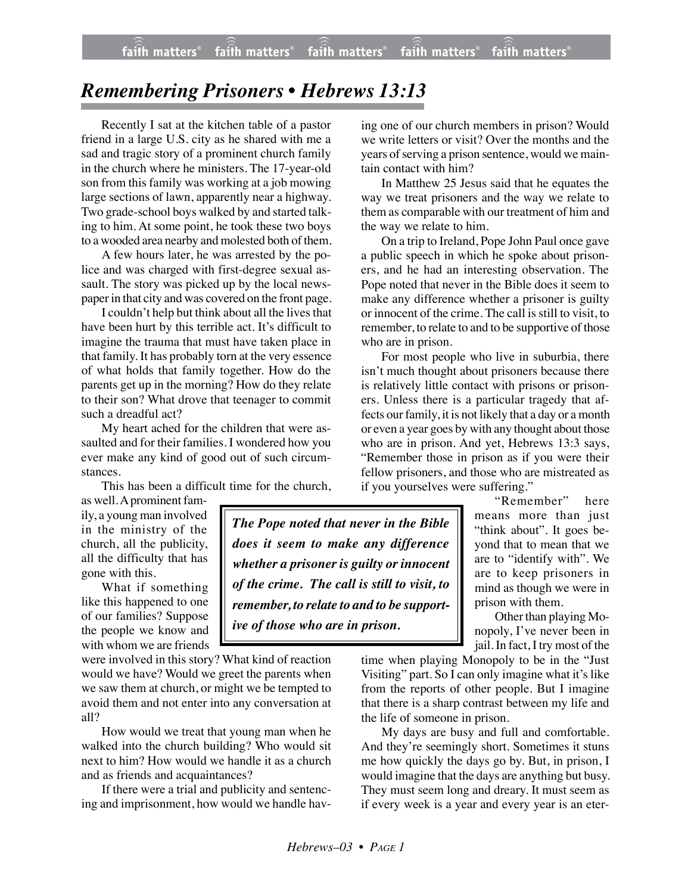## *Remembering Prisoners • Hebrews 13:13*

Recently I sat at the kitchen table of a pastor friend in a large U.S. city as he shared with me a sad and tragic story of a prominent church family in the church where he ministers. The 17-year-old son from this family was working at a job mowing large sections of lawn, apparently near a highway. Two grade-school boys walked by and started talking to him. At some point, he took these two boys to a wooded area nearby and molested both of them.

A few hours later, he was arrested by the police and was charged with first-degree sexual assault. The story was picked up by the local newspaper in that city and was covered on the front page.

I couldn't help but think about all the lives that have been hurt by this terrible act. It's difficult to imagine the trauma that must have taken place in that family. It has probably torn at the very essence of what holds that family together. How do the parents get up in the morning? How do they relate to their son? What drove that teenager to commit such a dreadful act?

My heart ached for the children that were assaulted and for their families. I wondered how you ever make any kind of good out of such circumstances.

This has been a difficult time for the church,

as well. A prominent family, a young man involved in the ministry of the church, all the publicity, all the difficulty that has gone with this.

What if something like this happened to one of our families? Suppose the people we know and with whom we are friends

were involved in this story? What kind of reaction would we have? Would we greet the parents when we saw them at church, or might we be tempted to avoid them and not enter into any conversation at all?

How would we treat that young man when he walked into the church building? Who would sit next to him? How would we handle it as a church and as friends and acquaintances?

If there were a trial and publicity and sentencing and imprisonment, how would we handle hav-

ing one of our church members in prison? Would we write letters or visit? Over the months and the years of serving a prison sentence, would we maintain contact with him?

In Matthew 25 Jesus said that he equates the way we treat prisoners and the way we relate to them as comparable with our treatment of him and the way we relate to him.

On a trip to Ireland, Pope John Paul once gave a public speech in which he spoke about prisoners, and he had an interesting observation. The Pope noted that never in the Bible does it seem to make any difference whether a prisoner is guilty or innocent of the crime. The call is still to visit, to remember, to relate to and to be supportive of those who are in prison.

For most people who live in suburbia, there isn't much thought about prisoners because there is relatively little contact with prisons or prisoners. Unless there is a particular tragedy that affects our family, it is not likely that a day or a month or even a year goes by with any thought about those who are in prison. And yet, Hebrews 13:3 says, "Remember those in prison as if you were their fellow prisoners, and those who are mistreated as if you yourselves were suffering."

> "Remember" here means more than just "think about". It goes beyond that to mean that we are to "identify with". We are to keep prisoners in mind as though we were in prison with them.

> Other than playing Monopoly, I've never been in jail. In fact, I try most of the

time when playing Monopoly to be in the "Just Visiting" part. So I can only imagine what it's like from the reports of other people. But I imagine that there is a sharp contrast between my life and the life of someone in prison.

My days are busy and full and comfortable. And they're seemingly short. Sometimes it stuns me how quickly the days go by. But, in prison, I would imagine that the days are anything but busy. They must seem long and dreary. It must seem as if every week is a year and every year is an eter-

*The Pope noted that never in the Bible does it seem to make any difference whether a prisoner is guilty or innocent of the crime. The call is still to visit, to remember, to relate to and to be supportive of those who are in prison.*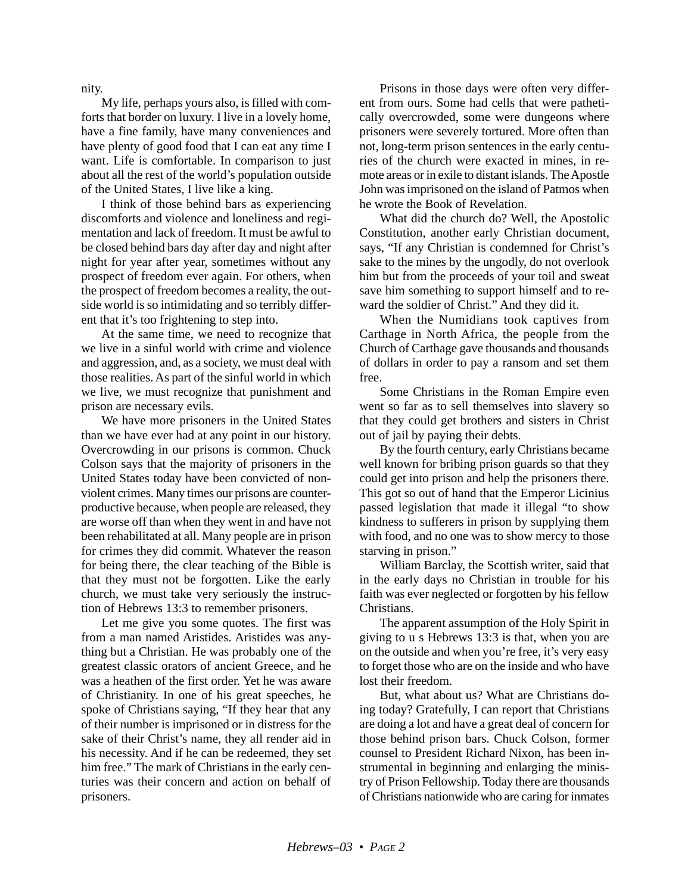nity.

My life, perhaps yours also, is filled with comforts that border on luxury. I live in a lovely home, have a fine family, have many conveniences and have plenty of good food that I can eat any time I want. Life is comfortable. In comparison to just about all the rest of the world's population outside of the United States, I live like a king.

I think of those behind bars as experiencing discomforts and violence and loneliness and regimentation and lack of freedom. It must be awful to be closed behind bars day after day and night after night for year after year, sometimes without any prospect of freedom ever again. For others, when the prospect of freedom becomes a reality, the outside world is so intimidating and so terribly different that it's too frightening to step into.

At the same time, we need to recognize that we live in a sinful world with crime and violence and aggression, and, as a society, we must deal with those realities. As part of the sinful world in which we live, we must recognize that punishment and prison are necessary evils.

We have more prisoners in the United States than we have ever had at any point in our history. Overcrowding in our prisons is common. Chuck Colson says that the majority of prisoners in the United States today have been convicted of nonviolent crimes. Many times our prisons are counterproductive because, when people are released, they are worse off than when they went in and have not been rehabilitated at all. Many people are in prison for crimes they did commit. Whatever the reason for being there, the clear teaching of the Bible is that they must not be forgotten. Like the early church, we must take very seriously the instruction of Hebrews 13:3 to remember prisoners.

Let me give you some quotes. The first was from a man named Aristides. Aristides was anything but a Christian. He was probably one of the greatest classic orators of ancient Greece, and he was a heathen of the first order. Yet he was aware of Christianity. In one of his great speeches, he spoke of Christians saying, "If they hear that any of their number is imprisoned or in distress for the sake of their Christ's name, they all render aid in his necessity. And if he can be redeemed, they set him free." The mark of Christians in the early centuries was their concern and action on behalf of prisoners.

Prisons in those days were often very different from ours. Some had cells that were pathetically overcrowded, some were dungeons where prisoners were severely tortured. More often than not, long-term prison sentences in the early centuries of the church were exacted in mines, in remote areas or in exile to distant islands. The Apostle John was imprisoned on the island of Patmos when he wrote the Book of Revelation.

What did the church do? Well, the Apostolic Constitution, another early Christian document, says, "If any Christian is condemned for Christ's sake to the mines by the ungodly, do not overlook him but from the proceeds of your toil and sweat save him something to support himself and to reward the soldier of Christ." And they did it.

When the Numidians took captives from Carthage in North Africa, the people from the Church of Carthage gave thousands and thousands of dollars in order to pay a ransom and set them free.

Some Christians in the Roman Empire even went so far as to sell themselves into slavery so that they could get brothers and sisters in Christ out of jail by paying their debts.

By the fourth century, early Christians became well known for bribing prison guards so that they could get into prison and help the prisoners there. This got so out of hand that the Emperor Licinius passed legislation that made it illegal "to show kindness to sufferers in prison by supplying them with food, and no one was to show mercy to those starving in prison."

William Barclay, the Scottish writer, said that in the early days no Christian in trouble for his faith was ever neglected or forgotten by his fellow Christians.

The apparent assumption of the Holy Spirit in giving to u s Hebrews 13:3 is that, when you are on the outside and when you're free, it's very easy to forget those who are on the inside and who have lost their freedom.

But, what about us? What are Christians doing today? Gratefully, I can report that Christians are doing a lot and have a great deal of concern for those behind prison bars. Chuck Colson, former counsel to President Richard Nixon, has been instrumental in beginning and enlarging the ministry of Prison Fellowship. Today there are thousands of Christians nationwide who are caring for inmates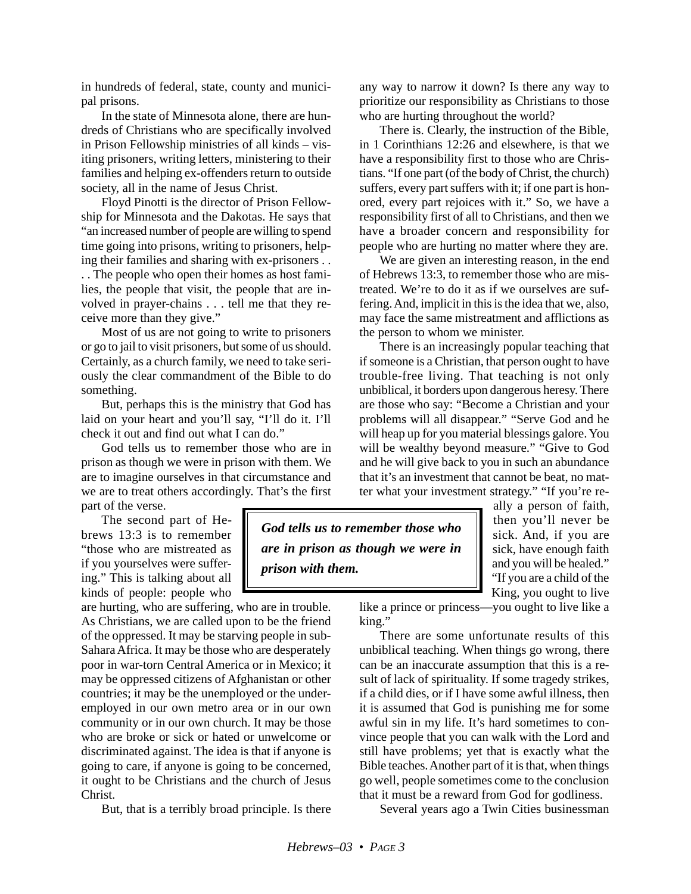in hundreds of federal, state, county and municipal prisons.

In the state of Minnesota alone, there are hundreds of Christians who are specifically involved in Prison Fellowship ministries of all kinds – visiting prisoners, writing letters, ministering to their families and helping ex-offenders return to outside society, all in the name of Jesus Christ.

Floyd Pinotti is the director of Prison Fellowship for Minnesota and the Dakotas. He says that "an increased number of people are willing to spend time going into prisons, writing to prisoners, helping their families and sharing with ex-prisoners . .

. . The people who open their homes as host families, the people that visit, the people that are involved in prayer-chains . . . tell me that they receive more than they give."

Most of us are not going to write to prisoners or go to jail to visit prisoners, but some of us should. Certainly, as a church family, we need to take seriously the clear commandment of the Bible to do something.

But, perhaps this is the ministry that God has laid on your heart and you'll say, "I'll do it. I'll check it out and find out what I can do."

God tells us to remember those who are in prison as though we were in prison with them. We are to imagine ourselves in that circumstance and we are to treat others accordingly. That's the first part of the verse.

The second part of Hebrews 13:3 is to remember "those who are mistreated as if you yourselves were suffering." This is talking about all kinds of people: people who

are hurting, who are suffering, who are in trouble. As Christians, we are called upon to be the friend of the oppressed. It may be starving people in sub-Sahara Africa. It may be those who are desperately poor in war-torn Central America or in Mexico; it may be oppressed citizens of Afghanistan or other countries; it may be the unemployed or the underemployed in our own metro area or in our own community or in our own church. It may be those who are broke or sick or hated or unwelcome or discriminated against. The idea is that if anyone is going to care, if anyone is going to be concerned, it ought to be Christians and the church of Jesus Christ.

But, that is a terribly broad principle. Is there

any way to narrow it down? Is there any way to prioritize our responsibility as Christians to those who are hurting throughout the world?

There is. Clearly, the instruction of the Bible, in 1 Corinthians 12:26 and elsewhere, is that we have a responsibility first to those who are Christians. "If one part (of the body of Christ, the church) suffers, every part suffers with it; if one part is honored, every part rejoices with it." So, we have a responsibility first of all to Christians, and then we have a broader concern and responsibility for people who are hurting no matter where they are.

We are given an interesting reason, in the end of Hebrews 13:3, to remember those who are mistreated. We're to do it as if we ourselves are suffering. And, implicit in this is the idea that we, also, may face the same mistreatment and afflictions as the person to whom we minister.

There is an increasingly popular teaching that if someone is a Christian, that person ought to have trouble-free living. That teaching is not only unbiblical, it borders upon dangerous heresy. There are those who say: "Become a Christian and your problems will all disappear." "Serve God and he will heap up for you material blessings galore. You will be wealthy beyond measure." "Give to God and he will give back to you in such an abundance that it's an investment that cannot be beat, no matter what your investment strategy." "If you're re-

*God tells us to remember those who are in prison as though we were in prison with them.*

ally a person of faith, then you'll never be sick. And, if you are sick, have enough faith and you will be healed." "If you are a child of the King, you ought to live

like a prince or princess—you ought to live like a king."

There are some unfortunate results of this unbiblical teaching. When things go wrong, there can be an inaccurate assumption that this is a result of lack of spirituality. If some tragedy strikes, if a child dies, or if I have some awful illness, then it is assumed that God is punishing me for some awful sin in my life. It's hard sometimes to convince people that you can walk with the Lord and still have problems; yet that is exactly what the Bible teaches. Another part of it is that, when things go well, people sometimes come to the conclusion that it must be a reward from God for godliness.

Several years ago a Twin Cities businessman